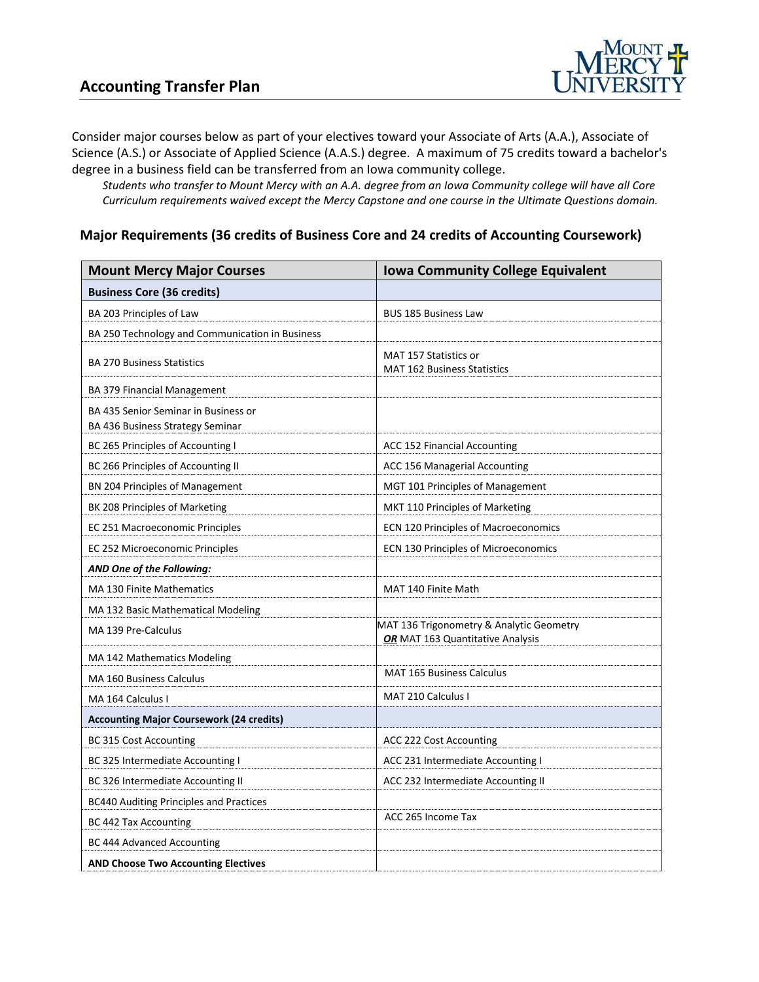

Consider major courses below as part of your electives toward your Associate of Arts (A.A.), Associate of Science (A.S.) or Associate of Applied Science (A.A.S.) degree. A maximum of 75 credits toward a bachelor's degree in a business field can be transferred from an Iowa community college.

*Students who transfer to Mount Mercy with an A.A. degree from an Iowa Community college will have all Core Curriculum requirements waived except the Mercy Capstone and one course in the Ultimate Questions domain.*

#### **Major Requirements (36 credits of Business Core and 24 credits of Accounting Coursework)**

| <b>Mount Mercy Major Courses</b>                                         | <b>Iowa Community College Equivalent</b>                                     |
|--------------------------------------------------------------------------|------------------------------------------------------------------------------|
| <b>Business Core (36 credits)</b>                                        |                                                                              |
| BA 203 Principles of Law                                                 | <b>BUS 185 Business Law</b>                                                  |
| BA 250 Technology and Communication in Business                          |                                                                              |
| <b>BA 270 Business Statistics</b>                                        | MAT 157 Statistics or<br><b>MAT 162 Business Statistics</b>                  |
| BA 379 Financial Management                                              |                                                                              |
| BA 435 Senior Seminar in Business or<br>BA 436 Business Strategy Seminar |                                                                              |
| BC 265 Principles of Accounting I                                        | ACC 152 Financial Accounting                                                 |
| BC 266 Principles of Accounting II                                       | ACC 156 Managerial Accounting                                                |
| BN 204 Principles of Management                                          | MGT 101 Principles of Management                                             |
| BK 208 Principles of Marketing                                           | MKT 110 Principles of Marketing                                              |
| EC 251 Macroeconomic Principles                                          | ECN 120 Principles of Macroeconomics                                         |
| EC 252 Microeconomic Principles                                          | <b>ECN 130 Principles of Microeconomics</b>                                  |
| AND One of the Following:                                                |                                                                              |
| MA 130 Finite Mathematics                                                | MAT 140 Finite Math                                                          |
| MA 132 Basic Mathematical Modeling                                       |                                                                              |
| MA 139 Pre-Calculus                                                      | MAT 136 Trigonometry & Analytic Geometry<br>OR MAT 163 Quantitative Analysis |
| MA 142 Mathematics Modeling                                              |                                                                              |
| <b>MA 160 Business Calculus</b>                                          | <b>MAT 165 Business Calculus</b>                                             |
| MA 164 Calculus I                                                        | <b>MAT 210 Calculus I</b>                                                    |
| <b>Accounting Major Coursework (24 credits)</b>                          |                                                                              |
| <b>BC 315 Cost Accounting</b>                                            | ACC 222 Cost Accounting                                                      |
| BC 325 Intermediate Accounting I                                         | ACC 231 Intermediate Accounting I                                            |
| BC 326 Intermediate Accounting II                                        | ACC 232 Intermediate Accounting II                                           |
| <b>BC440 Auditing Principles and Practices</b>                           |                                                                              |
| <b>BC 442 Tax Accounting</b>                                             | ACC 265 Income Tax                                                           |
| BC 444 Advanced Accounting                                               |                                                                              |
| <b>AND Choose Two Accounting Electives</b>                               |                                                                              |